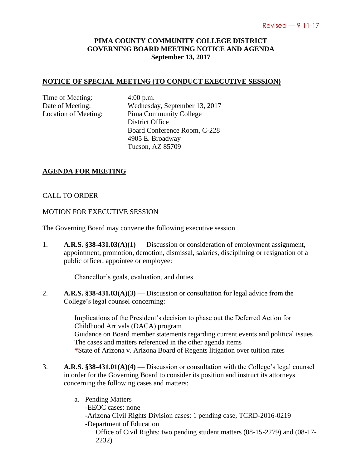# **PIMA COUNTY COMMUNITY COLLEGE DISTRICT GOVERNING BOARD MEETING NOTICE AND AGENDA September 13, 2017**

## **NOTICE OF SPECIAL MEETING (TO CONDUCT EXECUTIVE SESSION)**

Time of Meeting: 4:00 p.m.

Date of Meeting: Wednesday, September 13, 2017 Location of Meeting: Pima Community College District Office Board Conference Room, C-228 4905 E. Broadway Tucson, AZ 85709

#### **AGENDA FOR MEETING**

## CALL TO ORDER

#### MOTION FOR EXECUTIVE SESSION

The Governing Board may convene the following executive session

1. **A.R.S. §38-431.03(A)(1)** — Discussion or consideration of employment assignment, appointment, promotion, demotion, dismissal, salaries, disciplining or resignation of a public officer, appointee or employee:

Chancellor's goals, evaluation, and duties

2. **A.R.S. §38-431.03(A)(3)** — Discussion or consultation for legal advice from the College's legal counsel concerning:

> Implications of the President's decision to phase out the Deferred Action for Childhood Arrivals (DACA) program Guidance on Board member statements regarding current events and political issues The cases and matters referenced in the other agenda items **\***State of Arizona v. Arizona Board of Regents litigation over tuition rates

- 3. **A.R.S. §38-431.01(A)(4)** Discussion or consultation with the College's legal counsel in order for the Governing Board to consider its position and instruct its attorneys concerning the following cases and matters:
	- a. Pending Matters -EEOC cases: none -Arizona Civil Rights Division cases: 1 pending case, TCRD-2016-0219 -Department of Education Office of Civil Rights: two pending student matters (08-15-2279) and (08-17- 2232)